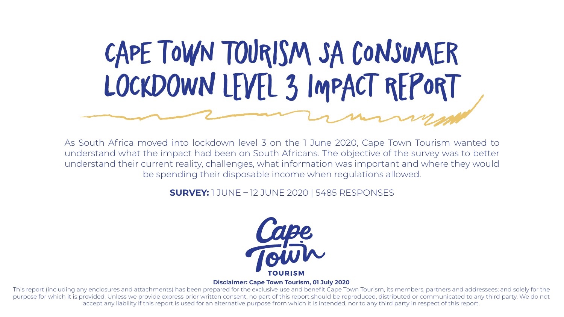As South Africa moved into lockdown level 3 on the 1 June 2020, Cape Town Tourism wanted to understand what the impact had been on South Africans. The objective of the survey was to better understand their current reality, challenges, what information was important and where they would be spending their disposable income when regulations allowed.

#### **SURVEY:** 1 JUNE – 12 JUNE 2020 | 5485 RESPONSES



# **CaPe tOwN ToUrIsM Sa cOnSuMeR LoCkDoWn lEvEl 3 ImPaCt rEpOrT**

#### **Disclaimer: Cape Town Tourism, 01 July 2020**

This report (including any enclosures and attachments) has been prepared for the exclusive use and benefit Cape Town Tourism, its members, partners and addressees; and solely for the purpose for which it is provided. Unless we provide express prior written consent, no part of this report should be reproduced, distributed or communicated to any third party. We do not accept any liability if this report is used for an alternative purpose from which it is intended, nor to any third party in respect of this report.

#### **TOURISM**

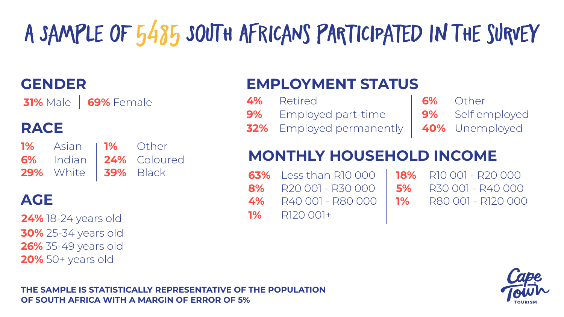| <b>GENDER</b>                      |           |                       | <b>EMPLOYMENT STATUS</b>      |                          |           |                           |                    |
|------------------------------------|-----------|-----------------------|-------------------------------|--------------------------|-----------|---------------------------|--------------------|
| <b>31%</b> Male<br>69% Female      |           | 4%<br>9%              | Retired<br>Employed part-time |                          | 6%        | Other<br>9% Self employed |                    |
| <b>RACE</b>                        |           |                       |                               | 32% Employed permanently |           |                           | 40% Unemployed     |
| <b>1%</b><br>Asian<br>6%<br>Indian | <b>1%</b> | Other<br>24% Coloured | MONTHLY HOUSEHOLD INCOME      |                          |           |                           |                    |
| 29%<br>White                       |           | 39% Black             | 63%                           | Less than R10 000        | 18%       |                           | R10 001 - R20 000  |
|                                    |           |                       | 8%                            | R20 001 - R30 000        | <b>5%</b> |                           | R30 001 - R40 000  |
| <b>AGE</b>                         |           |                       | 4%                            | R40 001 - R80 000        | <b>1%</b> |                           | R80 001 - R120 000 |
| <b>24%</b> 18-24 years old         |           |                       | <b>1%</b>                     | R120 001+                |           |                           |                    |
| <b>30%</b> 25-34 years old         |           |                       |                               |                          |           |                           |                    |
| <b>26%</b> 35-49 years old         |           |                       |                               |                          |           |                           |                    |

**20%** 50+ years old





# **A SaMpLe oF 5485 SoUtH AfRiCaNs pArTiCiPaTeD In tHe sUrVeY**

**THE SAMPLE IS STATISTICALLY REPRESENTATIVE OF THE POPULATION OF SOUTH AFRICA WITH A MARGIN OF ERROR OF 5%**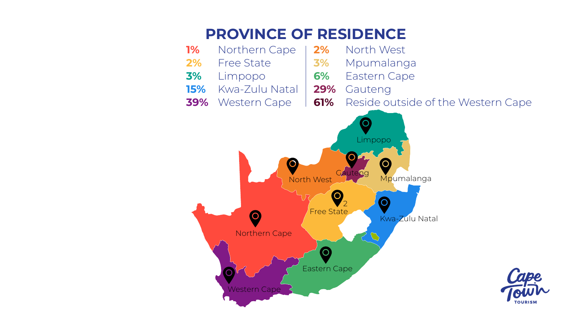### **PROVINCE OF RESIDENCE**

| <b>1%</b> | Northerr  |
|-----------|-----------|
| 2%        | Free Stat |
| 3%        | Limpopc   |
| 15%       | Kwa-Zulu  |
| 39%       | Western   |



- 
- 1 Cape | 2% North West
- te | 3% Mpumalanga
	- **6% Eastern Cape**
- **15%** Kwa-Zulu Natal **29%** Gauteng
- **39 Cape 1 61%** Reside outside of the Western Cape



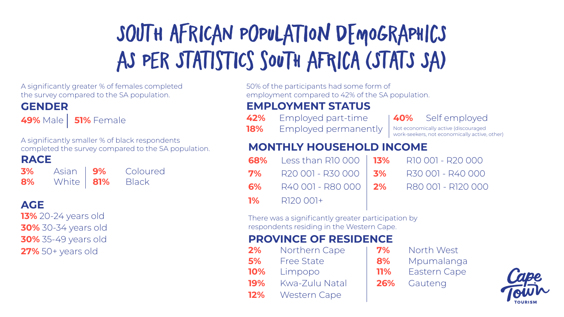| A significantly greater % of females completed<br>the survey compared to the SA population. |                                                                                                       |            |  |  |  |
|---------------------------------------------------------------------------------------------|-------------------------------------------------------------------------------------------------------|------------|--|--|--|
| <b>GENDER</b>                                                                               |                                                                                                       |            |  |  |  |
| 49% Male   51% Female                                                                       |                                                                                                       | 42%<br>18% |  |  |  |
|                                                                                             | A significantly smaller % of black respondents<br>completed the survey compared to the SA population. | MC         |  |  |  |
| <b>RACE</b>                                                                                 |                                                                                                       | 68%        |  |  |  |
| <b>3%</b> Asian 19% Colou<br><b>8%</b> White 181% Black                                     | Coloured                                                                                              | 7%         |  |  |  |
|                                                                                             |                                                                                                       | 6%         |  |  |  |
| <b>AGE</b>                                                                                  |                                                                                                       | <b>1%</b>  |  |  |  |
| 13% 20-24 years old                                                                         |                                                                                                       | There      |  |  |  |
| <b>30%</b> 30-34 years old                                                                  |                                                                                                       | respo      |  |  |  |
| <b>30%</b> 35-49 years old                                                                  |                                                                                                       | PR         |  |  |  |
| $27\%$ 50+ years old                                                                        |                                                                                                       | 2%         |  |  |  |
|                                                                                             |                                                                                                       | <b>5%</b>  |  |  |  |
|                                                                                             |                                                                                                       | 10%        |  |  |  |
|                                                                                             |                                                                                                       | <b>19%</b> |  |  |  |
|                                                                                             |                                                                                                       | 12%        |  |  |  |

## **SoUtH AfRiCaN PoPuLaTiOn dEmOgRaPhIcS**  AS PER STATISTICS SOUTH AFRICA (STATS SA)

of the participants had some form of loyment compared to 42% of the SA population.

#### **PLOYMENT STATUS**

- 
- Employed permanently

- **68%** Less than R10 000 **13%** R10 001 R20 000
	-
	- **6%** R40 001 R80 000
	- **1%** R120 001+
	- **7%** R20 001 R30 000 **3%** R30 001 R40 000 **2%** R80 001 - R120 000
- e was a significantly greater participation by ondents residing in the Western Cape.

#### *OVINCE OF RESIDENCE*

- **2% Northern Cape 1 7% North West**
- 
- **19%** Kwa-Zulu Natal **26%** Gauteng
- **12%** Western Cape
- Free State **8%** Mpumalanga **10%** Limpopo **11%** Eastern Cape



#### **42%** Employed part-time **40%** Self employed

Not economically active (discouraged work-seekers, not economically active, other)

#### **MONTHLY HOUSEHOLD INCOME**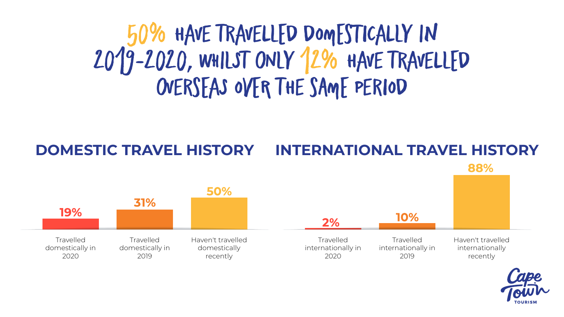**Travelled** internationally in 2020

 $2%$ 

**Travelled** internationally in 2019

### **INTERNATIONAL TRAVEL HISTORY** 88%



Haven't travelled internationally recently









#### **DOMESTIC TRAVEL HISTORY**

### **50% HaVe tRaVeLlEd dOmEsTiCaLlY In 2019-2020, WhIlSt oNlY 12% HaVe tRaVeLlEd oVeRsEaS OvEr tHe sAmE PeRiOd**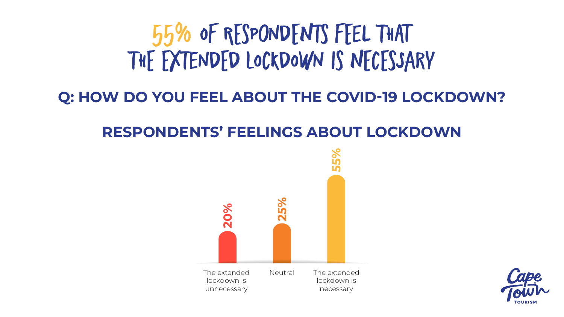The extended lockdown is unnecessary



Neutral The extended lockdown is necessary



# **RESPONDENTS' FEELINGS ABOUT LOCKDOWN 55% Of rEsPoNdEnTs fEeL ThAt ThE ExTeNdEd lOcKdOwN Is nEcEsSaRy Q: HOW DO YOU FEEL ABOUT THE COVID-19 LOCKDOWN?**

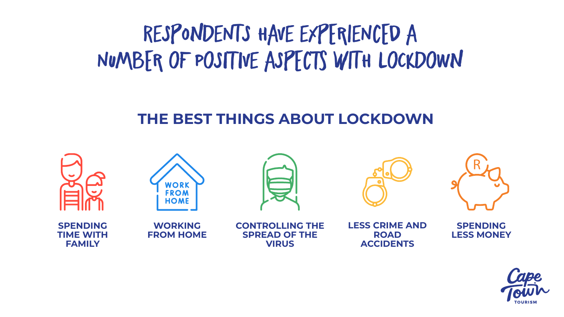### RESPONDENTS HAVE EXPERIENCED A NUMBER OF POSITIVE ASPECTS WITH LOCKDOWN

### THE BEST THINGS ABOUT LOCKDOWN







**LESS CRIME AND ROAD ACCIDENTS** 

**SPENDING LESS MONEY** 

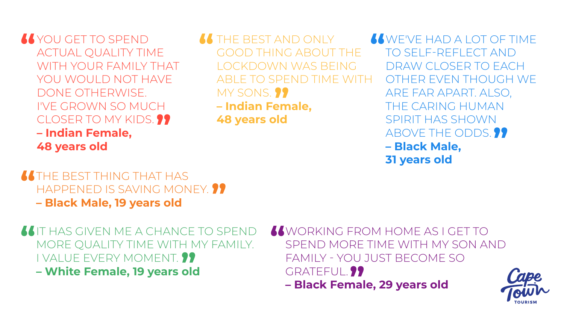**66 THE BEST AND ONLY** GOOD THING ABOUT THE LOCKDOWN WAS BEING ABLE TO SPEND TIME WITH MY SONS. ?? **– Indian Female, 48 years old**

WE'VE HAD A LOT OF TIME TO SELF-REFLECT AND DRAW CLOSER TO EACH OTHER EVEN THOUGH WE ARE FAR APART. ALSO, THE CARING HUMAN SPIRIT HAS SHOWN ABOVE THE ODDS. **99 – Black Male, 31 years old**

**IS IT HAS GIVEN ME A CHANCE TO SPEND** MORE QUALITY TIME WITH MY FAMILY. I VALUE EVERY MOMENT. **– White Female, 19 years old**

**66 THE BEST THING THAT HAS** HAPPENED IS SAVING MONEY. **19 – Black Male, 19 years old**

YOU GET TO SPEND ACTUAL QUALITY TIME WITH YOUR FAMILY THAT YOU WOULD NOT HAVE DONE OTHERWISE. I'VE GROWN SO MUCH CLOSER TO MY KIDS. ?? **– Indian Female, 48 years old**

> WORKING FROM HOME AS I GET TO SPEND MORE TIME WITH MY SON AND FAMILY - YOU JUST BECOME SO GRATEFUL. **?? – Black Female, 29 years old**





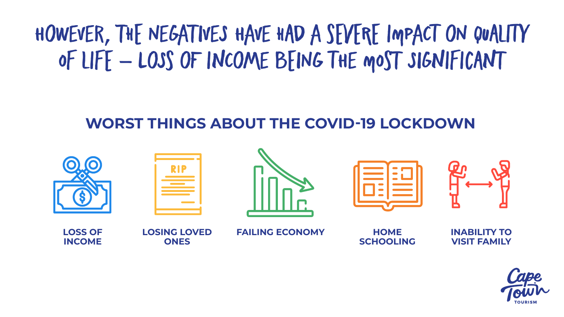### HOWEVER, THE NEGATIVES HAVE HAD A SEVERE IMPACT ON QUALITY OF LIFE - LOSS OF INCOME BEING THE MOST SIGNIFICANT

### **WORST THINGS ABOUT THE COVID-19 LOCKDOWN**



**LOSS OF INCOME** 

**LOSING LOVED** ONES

**FAILING ECONOMY** 





**HOME SCHOOLING** 

**INABILITY TO VISIT FAMILY** 



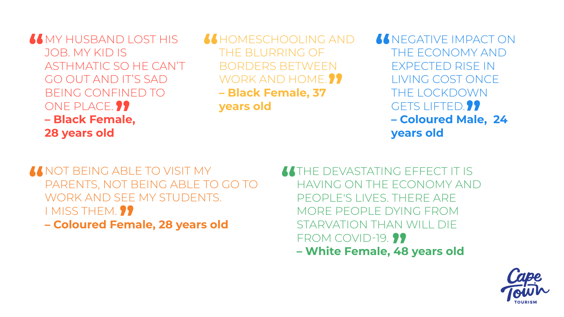**66 MY HUSBAND LOST HIS** JOB. MY KID IS ASTHMATIC SO HE CAN'T GO OUT AND IT'S SAD BEING CONFINED TO ONE PLACE. ?? **– Black Female, 28 years old**

NOT BEING ABLE TO VISIT MY PARENTS, NOT BEING ABLE TO GO TO WORK AND SEE MY STUDENTS. I MISS THEM. **99 – Coloured Female, 28 years old**

66 NEGATIVE IMPACT ON THE ECONOMY AND EXPECTED RISE IN LIVING COST ONCE THE LOCKDOWN GETS LIFTED. **22 – Coloured Male, 24 years old**

HOMESCHOOLING AND THE BLURRING OF BORDERS BETWEEN WORK AND HOME. ?? **– Black Female, 37 years old**

> THE DEVASTATING EFFECT IT IS HAVING ON THE ECONOMY AND PEOPLE'S LIVES. THERE ARE MORE PEOPLE DYING FROM STARVATION THAN WILL DIE FROM COVID-19. **99 – White Female, 48 years old**



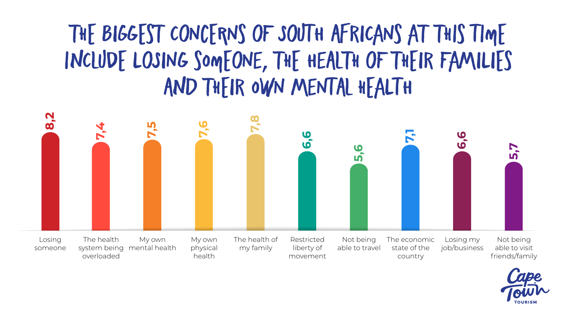### **ThE BiGgEsT CoNcErNs oF SoUtH AfRiCaNs aT ThIs tImE InClUdE LoSiNg sOmEoNe, ThE HeAlTh oF ThEiR FaMiLiEs AnD ThEiR OwN MeNtAl hEaLtH**

mental health system being overloaded someone physical health my family liberty of movement able to travel state of the country job/business able to visit friends/family





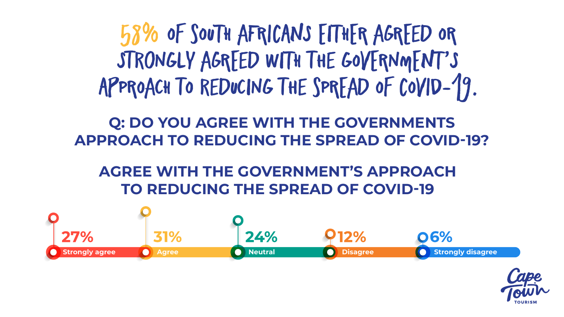

**58% Of sOuTh aFrIcAnS EiThEr aGrEeD Or StRoNgLy aGrEeD WiTh tHe gOvErNmEnT'S**  APPROACH TO REDUCING THE SPREAD OF COVID-19.

6%





### **Q: DO YOU AGREE WITH THE GOVERNMENTS APPROACH TO REDUCING THE SPREAD OF COVID-19?**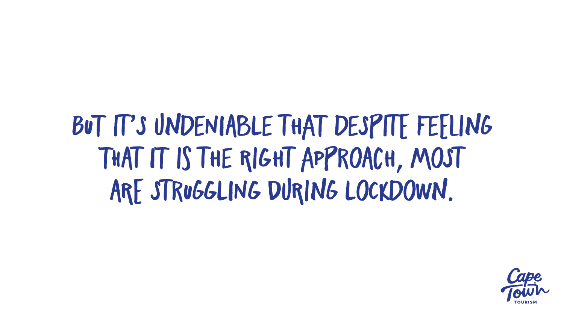# BUT IT'S UNDENIABLE THAT DESPITE FEELING THAT IT IS THE RIGHT APPROACH, MOST ARE STRUGGLING DURING LOCKDOWN.

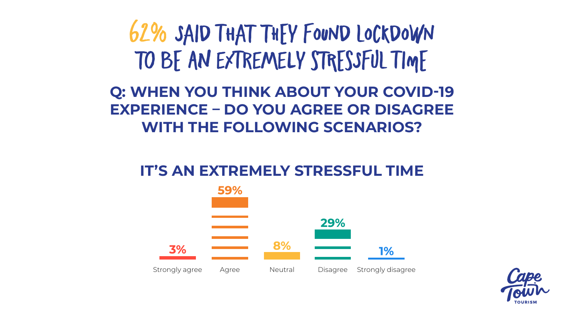### 62% SAID THAT THEY FOUND LOCKDOWN TO BE AN EXTREMELY STRESSFUL TIME Q: WHEN YOU THINK ABOUT YOUR COVID-19 **EXPERIENCE – DO YOU AGREE OR DISAGREE WITH THE FOLLOWING SCENARIOS?**

### IT'S AN EXTREMELY STRESSFUL TIME





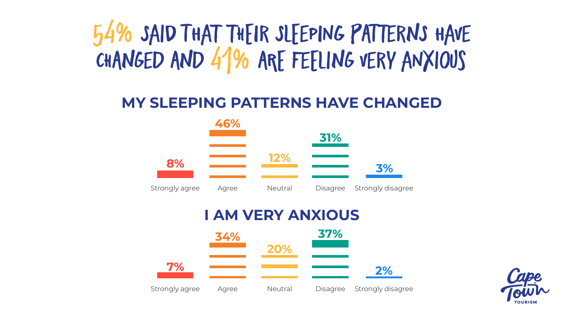### 54% SAID THAT THEIR SLEEPING PATTERNS HAVE CHANGED AND 41% ARE FEELING VERY ANXIOUS

### **MY SLEEPING PATTERNS HAVE CHANGED**



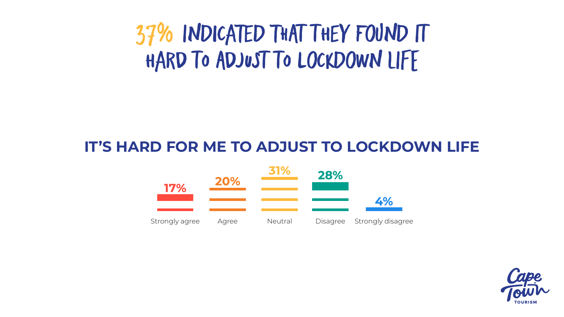### **IT'S HARD FOR ME TO ADJUST TO LOCKDOWN LIFE**

### **37% InDiCaTeD ThAt tHeY FoUnD It HaRd tO AdJuSt tO LoCkDoWn lIfE**



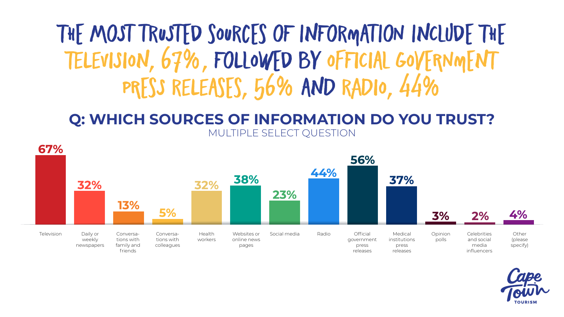### THE MOST TRUSTED SOURCES OF INFORMATION INCLUDE THE **TeLeViSiOn, 67%, FoLlOwEd bY OfFiCiAl gOvErNmEnT PrEsS ReLeAsEs, 56% AnD RaDiO, 44%**







#### **Q: WHICH SOURCES OF INFORMATION DO YOU TRUST?** MULTIPLE SELECT QUESTION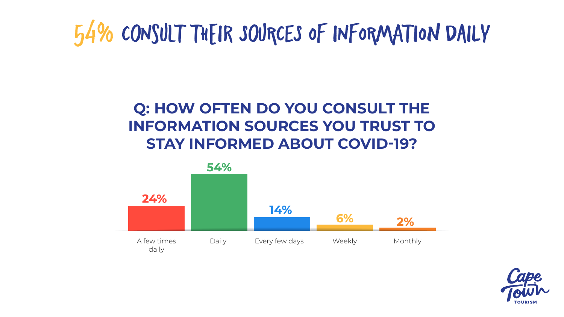### **Q: HOW OFTEN DO YOU CONSULT THE INFORMATION SOURCES YOU TRUST TO STAY INFORMED ABOUT COVID-19?**

54%

# **54% CoNsUlT ThEiR SoUrCeS Of iNfOrMaTiOn dAiLy**



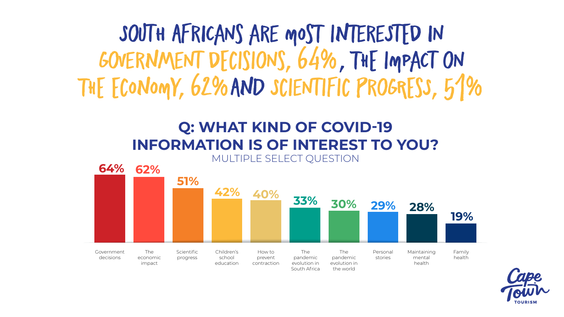#### **Q: WHAT KIND OF COVID-19 INFORMATION IS OF INTEREST TO YOU?** MULTIPLE SELECT QUESTION

### **SoUtH AfRiCaNs aRe mOsT InTeReStEd iN GoVeRnMeNt dEcIsIoNs, 64%, ThE ImPaCt oN ThE EcOnOmY, 62%AnD ScIeNtIfIc pRoGrEsS, 51%**





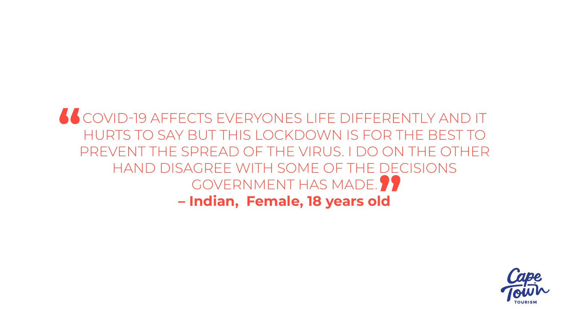### COVID-19 AFFECTS EVERYONES LIFE DIFFERENTLY AND IT HURTS TO SAY BUT THIS LOCKDOWN IS FOR THE BEST TO PREVENT THE SPREAD OF THE VIRUS. I DO ON THE OTHER HAND DISAGREE WITH SOME OF THE DECISIONS GOVERNMENT HAS MADE. ?? **– Indian, Female, 18 years old**

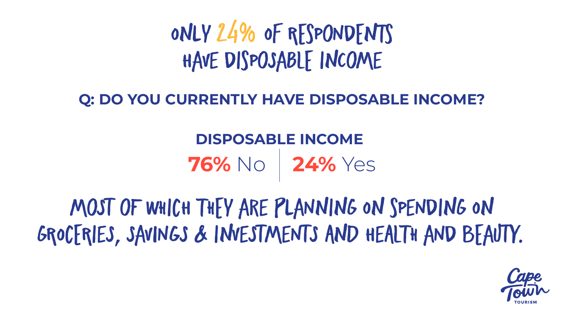### Q: DO YOU CURRENTLY HAVE DISPOSABLE INCOME?

### ONLY 24% OF RESPONDENTS HAVE DISPOSABLE INCOME

### **DISPOSABLE INCOME** 76% No 24% Yes

### MOST OF WHICH THEY ARE PLANNING ON SPENDING ON GROCERIES, SAVINGS & INVESTMENTS AND HEALTH AND BEAUTY.

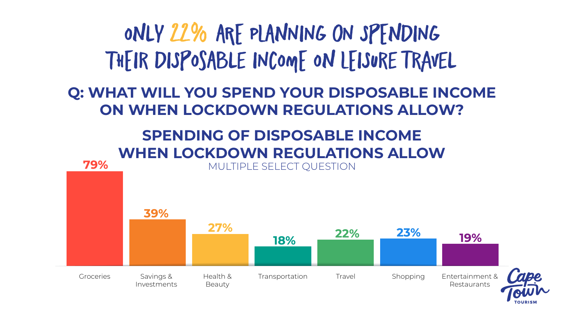#### **OnLy 22% ArE PlAnNiNg oN SpEnDiNg ThEiR DiSpOsAbLe iNcOmE On lEiSuRe tRaVeL Q: WHAT WILL YOU SPEND YOUR DISPOSABLE INCOME ON WHEN LOCKDOWN REGULATIONS ALLOW?SPENDING OF DISPOSABLE INCOME WHEN LOCKDOWN REGULATIONS ALLOW** 79% MULTIPLE SELECT QUESTION 39% 27% 23% 22% 19% 18% Groceries Savings & Transportation Travel Shopping Entertainment & Health & Investments Beauty



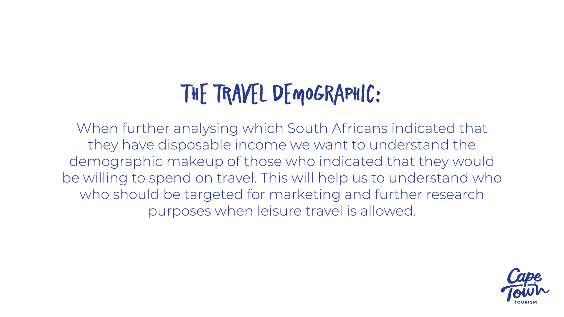When further analysing which South Africans indicated that they have disposable income we want to understand the demographic makeup of those who indicated that they would be willing to spend on travel. This will help us to understand who who should be targeted for marketing and further research purposes when leisure travel is allowed.



# **ThE TrAvEl dEmOgRaPhIc:**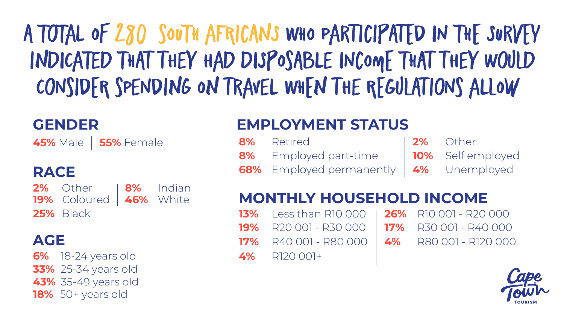### **A ToTaL Of 280 sOuTh aFrIcAnS WhO PaRtIcIpAtEd iN ThE SuRvEy**  INDICATED THAT THEY HAD DISPOSABLE INCOME THAT THEY WOULD **CoNsIdEr sPeNdInG On tRaVeL WhEn tHe rEgUlAtIoNs aLlOw**

| GENDER                                                                                       | <b>EMPLOYMENT STATUS</b> |                                                                                                                                  |  |       |                       |
|----------------------------------------------------------------------------------------------|--------------------------|----------------------------------------------------------------------------------------------------------------------------------|--|-------|-----------------------|
| 45% Male   55% Female                                                                        | 8%<br>8%                 | Retired<br>Employed part-time   10% Self employed                                                                                |  | $2\%$ | Other                 |
| <b>RACE</b>                                                                                  |                          | 68% Employed permanently   4% Unemployed                                                                                         |  |       |                       |
| 2% Other<br>8%<br>Indian<br>19% Coloured<br>46% White<br><b>25% Black</b>                    | 13%<br>19%               | <b>MONTHLY HOUSEHOLD INCOME</b><br>Less than R10 000   26% R10 001 - R20 000<br>R20 001 - R30 000   <b>17%</b> R30 001 - R40 000 |  |       |                       |
| AGE                                                                                          |                          | 17% R40 001 - R80 000                                                                                                            |  |       | 4% R80 001 - R120 000 |
| 6% 18-24 years old<br><b>33%</b> 25-34 years old<br>43% 35-49 years old<br>18% 50+ years old | 4%                       | R120 001+                                                                                                                        |  |       | $\boldsymbol{C}$      |



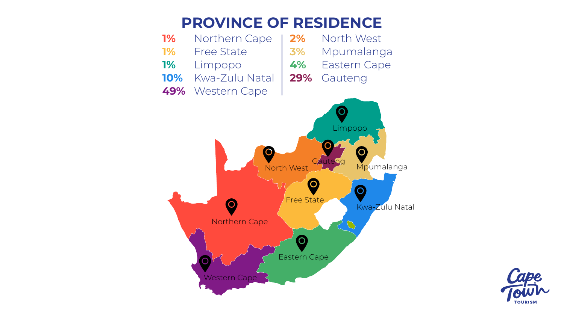- -
	-
- 
-